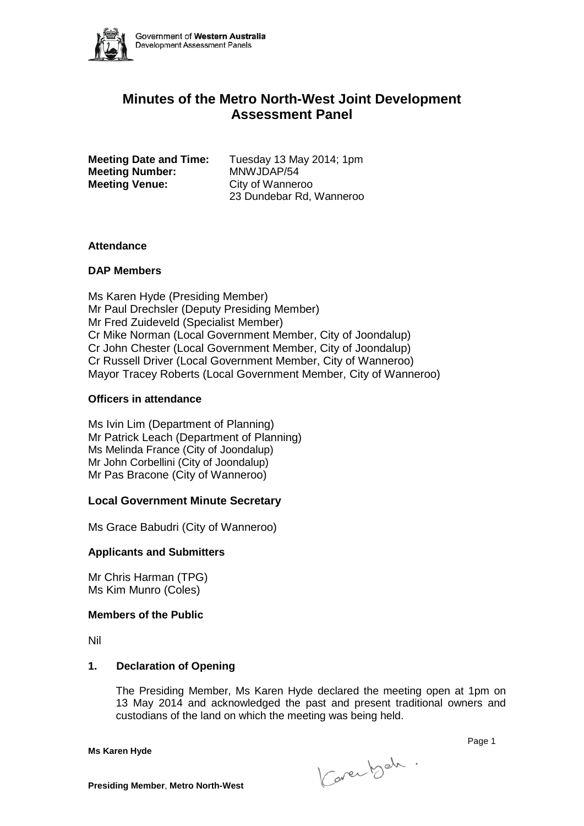

# **Minutes of the Metro North-West Joint Development Assessment Panel**

**Meeting Number:** MNWJDAP/54 **Meeting Venue:** City of Wanneroo

**Meeting Date and Time:** Tuesday 13 May 2014; 1pm 23 Dundebar Rd, Wanneroo

### **Attendance**

# **DAP Members**

Ms Karen Hyde (Presiding Member) Mr Paul Drechsler (Deputy Presiding Member) Mr Fred Zuideveld (Specialist Member) Cr Mike Norman (Local Government Member, City of Joondalup) Cr John Chester (Local Government Member, City of Joondalup) Cr Russell Driver (Local Government Member, City of Wanneroo) Mayor Tracey Roberts (Local Government Member, City of Wanneroo)

# **Officers in attendance**

Ms Ivin Lim (Department of Planning) Mr Patrick Leach (Department of Planning) Ms Melinda France (City of Joondalup) Mr John Corbellini (City of Joondalup) Mr Pas Bracone (City of Wanneroo)

# **Local Government Minute Secretary**

Ms Grace Babudri (City of Wanneroo)

# **Applicants and Submitters**

Mr Chris Harman (TPG) Ms Kim Munro (Coles)

# **Members of the Public**

Nil

# **1. Declaration of Opening**

The Presiding Member, Ms Karen Hyde declared the meeting open at 1pm on 13 May 2014 and acknowledged the past and present traditional owners and custodians of the land on which the meeting was being held.

**Ms Karen Hyde**

Karen beh.

e de la construction de la construction de la construction de la construction de la construction de la constru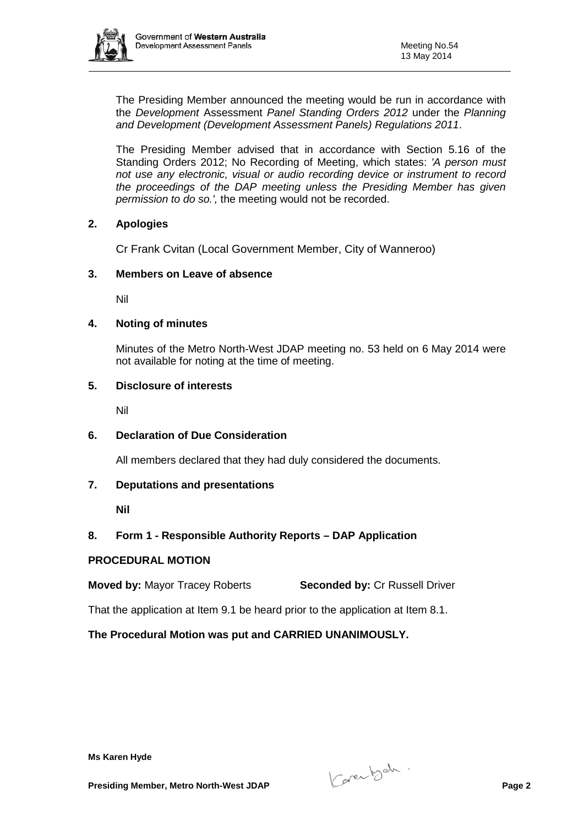

The Presiding Member announced the meeting would be run in accordance with the *Development* Assessment *Panel Standing Orders 2012* under the *Planning and Development (Development Assessment Panels) Regulations 2011*.

The Presiding Member advised that in accordance with Section 5.16 of the Standing Orders 2012; No Recording of Meeting, which states: *'A person must not use any electronic, visual or audio recording device or instrument to record the proceedings of the DAP meeting unless the Presiding Member has given permission to do so.',* the meeting would not be recorded.

# **2. Apologies**

Cr Frank Cvitan (Local Government Member, City of Wanneroo)

### **3. Members on Leave of absence**

Nil

### **4. Noting of minutes**

Minutes of the Metro North-West JDAP meeting no. 53 held on 6 May 2014 were not available for noting at the time of meeting.

### **5. Disclosure of interests**

Nil

# **6. Declaration of Due Consideration**

All members declared that they had duly considered the documents.

#### **7. Deputations and presentations**

**Nil**

# **8. Form 1 - Responsible Authority Reports – DAP Application**

#### **PROCEDURAL MOTION**

**Moved by:** Mayor Tracey Roberts **Seconded by:** Cr Russell Driver

That the application at Item 9.1 be heard prior to the application at Item 8.1.

**The Procedural Motion was put and CARRIED UNANIMOUSLY.**

**Presiding Member, Metro North-West JDAP** Page 2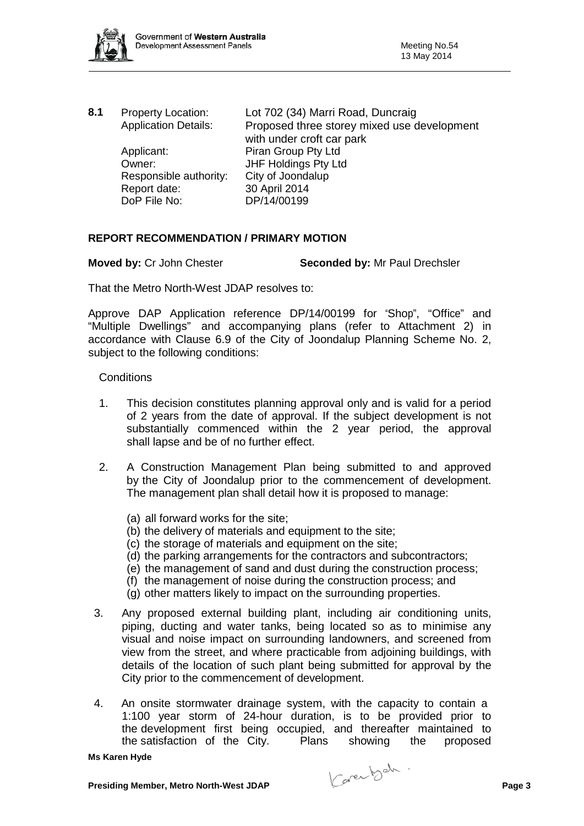

| 8.1 | <b>Property Location:</b><br><b>Application Details:</b> | Lot 702 (34) Marri Road, Duncraig<br>Proposed three storey mixed use development |
|-----|----------------------------------------------------------|----------------------------------------------------------------------------------|
|     |                                                          | with under croft car park                                                        |
|     | Applicant:                                               | Piran Group Pty Ltd                                                              |
|     | Owner:                                                   | JHF Holdings Pty Ltd                                                             |
|     | Responsible authority:                                   | City of Joondalup                                                                |
|     | Report date:                                             | 30 April 2014                                                                    |
|     | DoP File No:                                             | DP/14/00199                                                                      |
|     |                                                          |                                                                                  |

### **REPORT RECOMMENDATION / PRIMARY MOTION**

**Moved by:** Cr John Chester **Seconded by:** Mr Paul Drechsler

That the Metro North-West JDAP resolves to:

Approve DAP Application reference DP/14/00199 for "Shop", "Office" and "Multiple Dwellings" and accompanying plans (refer to Attachment 2) in accordance with Clause 6.9 of the City of Joondalup Planning Scheme No. 2, subject to the following conditions:

#### **Conditions**

- 1. This decision constitutes planning approval only and is valid for a period of 2 years from the date of approval. If the subject development is not substantially commenced within the 2 year period, the approval shall lapse and be of no further effect.
- 2. A Construction Management Plan being submitted to and approved by the City of Joondalup prior to the commencement of development. The management plan shall detail how it is proposed to manage:
	- (a) all forward works for the site;
	- (b) the delivery of materials and equipment to the site;
	- (c) the storage of materials and equipment on the site;
	- (d) the parking arrangements for the contractors and subcontractors;
	- (e) the management of sand and dust during the construction process;
	- (f) the management of noise during the construction process; and
	- (g) other matters likely to impact on the surrounding properties.
- 3. Any proposed external building plant, including air conditioning units, piping, ducting and water tanks, being located so as to minimise any visual and noise impact on surrounding landowners, and screened from view from the street, and where practicable from adjoining buildings, with details of the location of such plant being submitted for approval by the City prior to the commencement of development.
- 4. An onsite stormwater drainage system, with the capacity to contain a 1:100 year storm of 24-hour duration, is to be provided prior to the development first being occupied, and thereafter maintained to the satisfaction of the City. Plans showing the proposed

**Presiding Member, Metro North-West JDAP** Page 3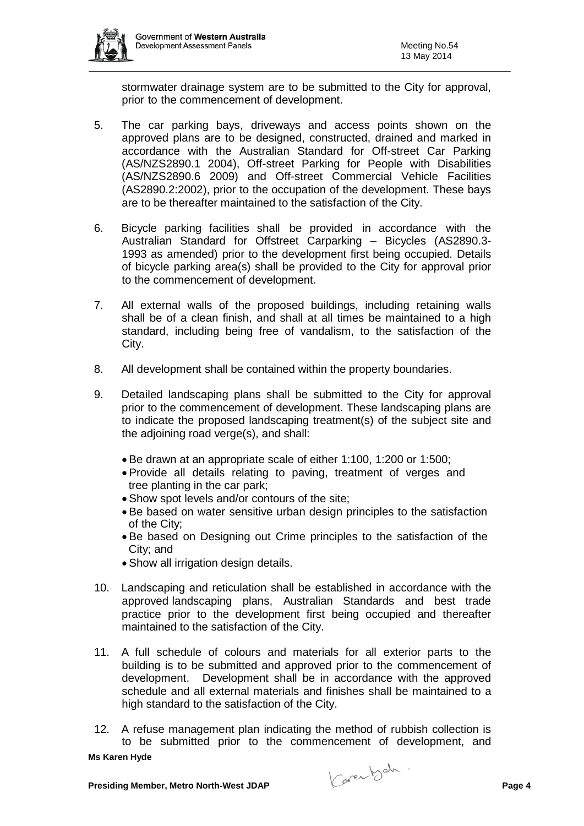

stormwater drainage system are to be submitted to the City for approval, prior to the commencement of development.

- 5. The car parking bays, driveways and access points shown on the approved plans are to be designed, constructed, drained and marked in accordance with the Australian Standard for Off-street Car Parking (AS/NZS2890.1 2004), Off-street Parking for People with Disabilities (AS/NZS2890.6 2009) and Off-street Commercial Vehicle Facilities (AS2890.2:2002), prior to the occupation of the development. These bays are to be thereafter maintained to the satisfaction of the City.
- 6. Bicycle parking facilities shall be provided in accordance with the Australian Standard for Offstreet Carparking – Bicycles (AS2890.3- 1993 as amended) prior to the development first being occupied. Details of bicycle parking area(s) shall be provided to the City for approval prior to the commencement of development.
- 7. All external walls of the proposed buildings, including retaining walls shall be of a clean finish, and shall at all times be maintained to a high standard, including being free of vandalism, to the satisfaction of the City.
- 8. All development shall be contained within the property boundaries.
- 9. Detailed landscaping plans shall be submitted to the City for approval prior to the commencement of development. These landscaping plans are to indicate the proposed landscaping treatment(s) of the subject site and the adjoining road verge(s), and shall:
	- Be drawn at an appropriate scale of either 1:100, 1:200 or 1:500;
	- Provide all details relating to paving, treatment of verges and tree planting in the car park;
	- Show spot levels and/or contours of the site;
	- Be based on water sensitive urban design principles to the satisfaction of the City;
	- Be based on Designing out Crime principles to the satisfaction of the City; and
	- Show all irrigation design details.
- 10. Landscaping and reticulation shall be established in accordance with the approved landscaping plans, Australian Standards and best trade practice prior to the development first being occupied and thereafter maintained to the satisfaction of the City.
- 11. A full schedule of colours and materials for all exterior parts to the building is to be submitted and approved prior to the commencement of development. Development shall be in accordance with the approved schedule and all external materials and finishes shall be maintained to a high standard to the satisfaction of the City.
- 12. A refuse management plan indicating the method of rubbish collection is to be submitted prior to the commencement of development, and

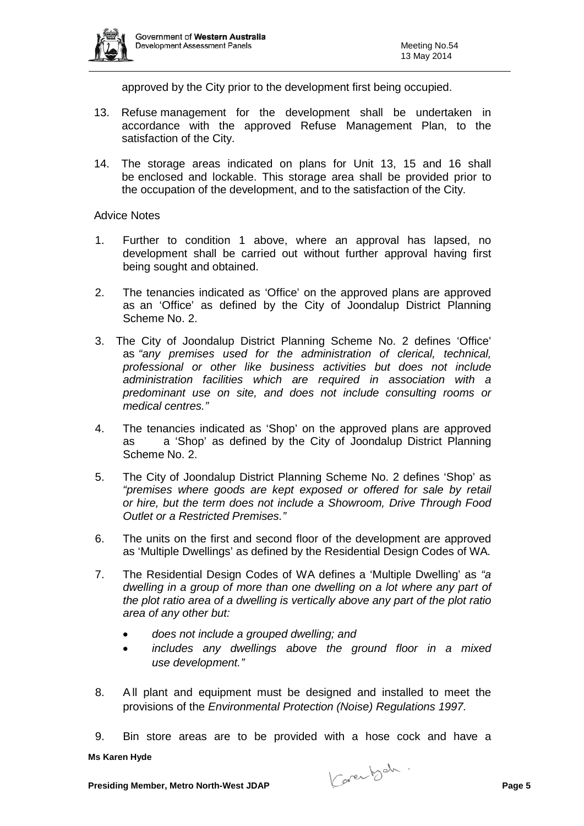

approved by the City prior to the development first being occupied.

- 13. Refuse management for the development shall be undertaken in accordance with the approved Refuse Management Plan, to the satisfaction of the City.
- 14. The storage areas indicated on plans for Unit 13, 15 and 16 shall be enclosed and lockable. This storage area shall be provided prior to the occupation of the development, and to the satisfaction of the City.

# Advice Notes

- 1. Further to condition 1 above, where an approval has lapsed, no development shall be carried out without further approval having first being sought and obtained.
- 2. The tenancies indicated as 'Office' on the approved plans are approved as an 'Office' as defined by the City of Joondalup District Planning Scheme No. 2.
- 3. The City of Joondalup District Planning Scheme No. 2 defines 'Office' as *"any premises used for the administration of clerical, technical, professional or other like business activities but does not include administration facilities which are required in association with a predominant use on site, and does not include consulting rooms or medical centres."*
- 4. The tenancies indicated as 'Shop' on the approved plans are approved as a 'Shop' as defined by the City of Joondalup District Planning Scheme No. 2.
- 5. The City of Joondalup District Planning Scheme No. 2 defines 'Shop' as *"premises where goods are kept exposed or offered for sale by retail or hire, but the term does not include a Showroom, Drive Through Food Outlet or a Restricted Premises."*
- 6. The units on the first and second floor of the development are approved as 'Multiple Dwellings' as defined by the Residential Design Codes of WA.
- 7. The Residential Design Codes of WA defines a 'Multiple Dwelling' as *"a dwelling in a group of more than one dwelling on a lot where any part of the plot ratio area of a dwelling is vertically above any part of the plot ratio area of any other but:*
	- *does not include a grouped dwelling; and*
	- *includes any dwellings above the ground floor in a mixed use development."*
- 8. All plant and equipment must be designed and installed to meet the provisions of the *Environmental Protection (Noise) Regulations 1997.*
- 9. Bin store areas are to be provided with a hose cock and have a

**Presiding Member, Metro North-West JDAP** Page 5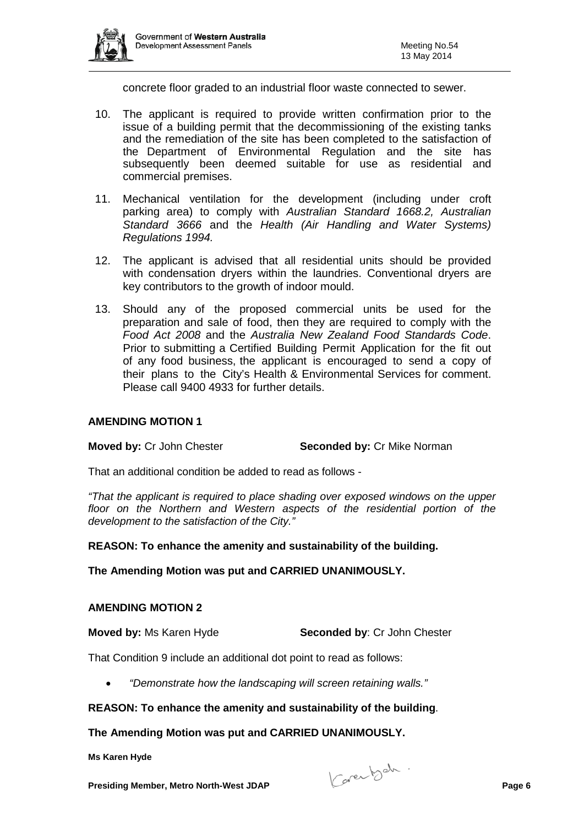

concrete floor graded to an industrial floor waste connected to sewer.

- 10. The applicant is required to provide written confirmation prior to the issue of a building permit that the decommissioning of the existing tanks and the remediation of the site has been completed to the satisfaction of the Department of Environmental Regulation and the site has subsequently been deemed suitable for use as residential and commercial premises.
- 11. Mechanical ventilation for the development (including under croft parking area) to comply with *Australian Standard 1668.2, Australian Standard 3666* and the *Health (Air Handling and Water Systems) Regulations 1994.*
- 12. The applicant is advised that all residential units should be provided with condensation dryers within the laundries. Conventional dryers are key contributors to the growth of indoor mould.
- 13. Should any of the proposed commercial units be used for the preparation and sale of food, then they are required to comply with the *Food Act 2008* and the *Australia New Zealand Food Standards Code*. Prior to submitting a Certified Building Permit Application for the fit out of any food business, the applicant is encouraged to send a copy of their plans to the City's Health & Environmental Services for comment. Please call 9400 4933 for further details.

# **AMENDING MOTION 1**

**Moved by:** Cr John Chester **Seconded by:** Cr Mike Norman

That an additional condition be added to read as follows -

*"That the applicant is required to place shading over exposed windows on the upper floor on the Northern and Western aspects of the residential portion of the development to the satisfaction of the City."*

**REASON: To enhance the amenity and sustainability of the building.**

**The Amending Motion was put and CARRIED UNANIMOUSLY.**

#### **AMENDING MOTION 2**

**Moved by:** Ms Karen Hyde **Seconded by**: Cr John Chester

That Condition 9 include an additional dot point to read as follows:

• *"Demonstrate how the landscaping will screen retaining walls."*

# **REASON: To enhance the amenity and sustainability of the building**.

#### **The Amending Motion was put and CARRIED UNANIMOUSLY.**

**Presiding Member, Metro North-West JDAP** Page 6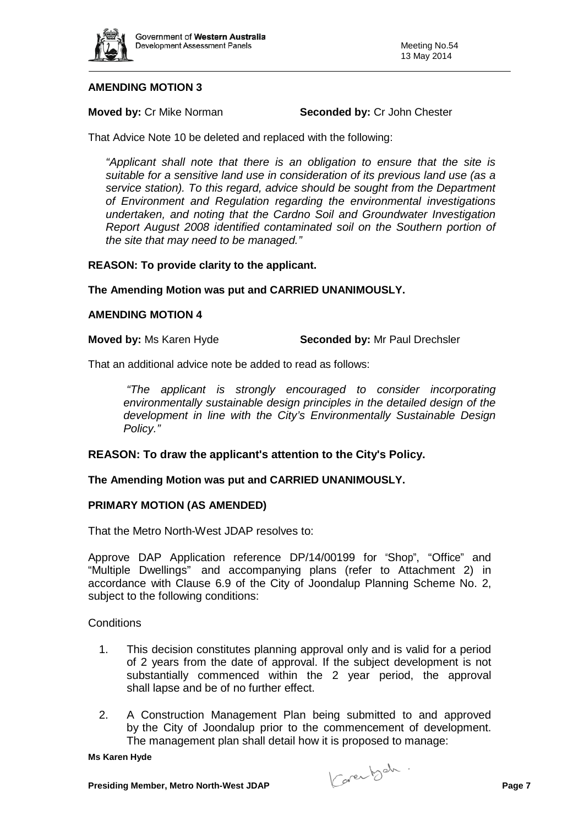

# **AMENDING MOTION 3**

**Moved by: Cr Mike Norman <b>Seconded by: Cr John Chester** 

That Advice Note 10 be deleted and replaced with the following:

*"Applicant shall note that there is an obligation to ensure that the site is suitable for a sensitive land use in consideration of its previous land use (as a service station). To this regard, advice should be sought from the Department of Environment and Regulation regarding the environmental investigations undertaken, and noting that the Cardno Soil and Groundwater Investigation Report August 2008 identified contaminated soil on the Southern portion of the site that may need to be managed."*

### **REASON: To provide clarity to the applicant.**

### **The Amending Motion was put and CARRIED UNANIMOUSLY.**

#### **AMENDING MOTION 4**

**Moved by:** Ms Karen Hyde **Seconded by:** Mr Paul Drechsler

That an additional advice note be added to read as follows:

*"The applicant is strongly encouraged to consider incorporating environmentally sustainable design principles in the detailed design of the development in line with the City's Environmentally Sustainable Design Policy."*

# **REASON: To draw the applicant's attention to the City's Policy.**

#### **The Amending Motion was put and CARRIED UNANIMOUSLY.**

#### **PRIMARY MOTION (AS AMENDED)**

That the Metro North-West JDAP resolves to:

Approve DAP Application reference DP/14/00199 for "Shop", "Office" and "Multiple Dwellings" and accompanying plans (refer to Attachment 2) in accordance with Clause 6.9 of the City of Joondalup Planning Scheme No. 2, subject to the following conditions:

#### **Conditions**

- 1. This decision constitutes planning approval only and is valid for a period of 2 years from the date of approval. If the subject development is not substantially commenced within the 2 year period, the approval shall lapse and be of no further effect.
- 2. A Construction Management Plan being submitted to and approved by the City of Joondalup prior to the commencement of development. The management plan shall detail how it is proposed to manage:

**Presiding Member, Metro North-West JDAP** Page 7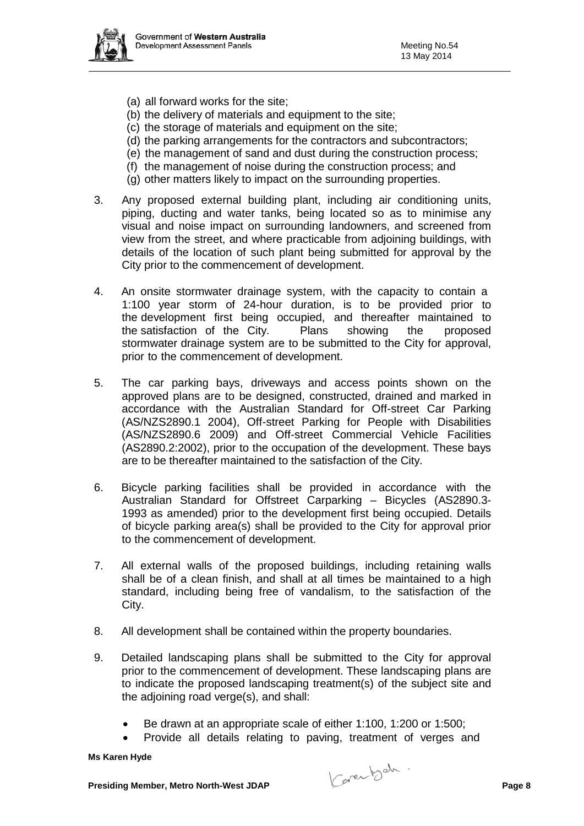

- (a) all forward works for the site;
- (b) the delivery of materials and equipment to the site;
- (c) the storage of materials and equipment on the site;
- (d) the parking arrangements for the contractors and subcontractors;
- (e) the management of sand and dust during the construction process;
- (f) the management of noise during the construction process; and
- (g) other matters likely to impact on the surrounding properties.
- 3. Any proposed external building plant, including air conditioning units, piping, ducting and water tanks, being located so as to minimise any visual and noise impact on surrounding landowners, and screened from view from the street, and where practicable from adjoining buildings, with details of the location of such plant being submitted for approval by the City prior to the commencement of development.
- 4. An onsite stormwater drainage system, with the capacity to contain a 1:100 year storm of 24-hour duration, is to be provided prior to the development first being occupied, and thereafter maintained to the satisfaction of the City. Plans showing the proposed stormwater drainage system are to be submitted to the City for approval, prior to the commencement of development.
- 5. The car parking bays, driveways and access points shown on the approved plans are to be designed, constructed, drained and marked in accordance with the Australian Standard for Off-street Car Parking (AS/NZS2890.1 2004), Off-street Parking for People with Disabilities (AS/NZS2890.6 2009) and Off-street Commercial Vehicle Facilities (AS2890.2:2002), prior to the occupation of the development. These bays are to be thereafter maintained to the satisfaction of the City.
- 6. Bicycle parking facilities shall be provided in accordance with the Australian Standard for Offstreet Carparking – Bicycles (AS2890.3- 1993 as amended) prior to the development first being occupied. Details of bicycle parking area(s) shall be provided to the City for approval prior to the commencement of development.
- 7. All external walls of the proposed buildings, including retaining walls shall be of a clean finish, and shall at all times be maintained to a high standard, including being free of vandalism, to the satisfaction of the City.
- 8. All development shall be contained within the property boundaries.
- 9. Detailed landscaping plans shall be submitted to the City for approval prior to the commencement of development. These landscaping plans are to indicate the proposed landscaping treatment(s) of the subject site and the adjoining road verge(s), and shall:
	- Be drawn at an appropriate scale of either 1:100, 1:200 or 1:500;
	- Provide all details relating to paving, treatment of verges and

**Presiding Member, Metro North-West JDAP** Page 8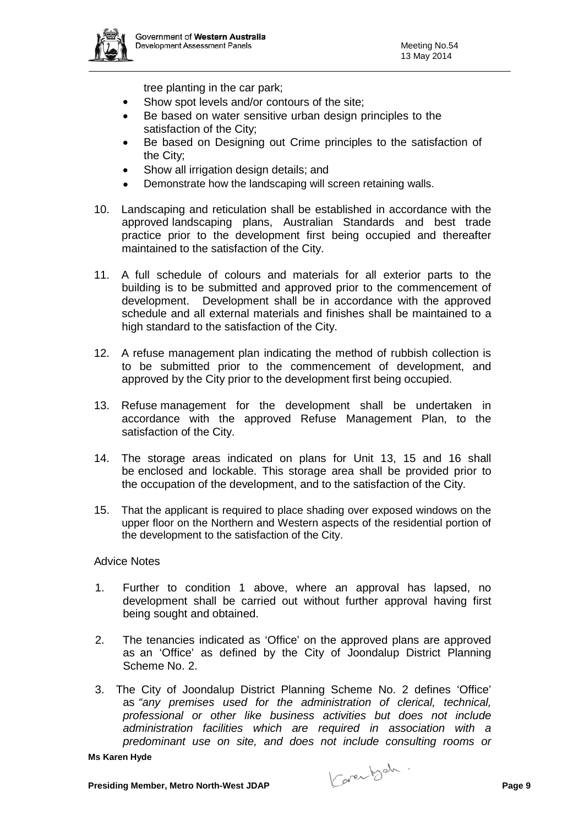

tree planting in the car park;

- Show spot levels and/or contours of the site;
- Be based on water sensitive urban design principles to the satisfaction of the City;
- Be based on Designing out Crime principles to the satisfaction of the City;
- Show all irrigation design details; and
- Demonstrate how the landscaping will screen retaining walls.
- 10. Landscaping and reticulation shall be established in accordance with the approved landscaping plans, Australian Standards and best trade practice prior to the development first being occupied and thereafter maintained to the satisfaction of the City.
- 11. A full schedule of colours and materials for all exterior parts to the building is to be submitted and approved prior to the commencement of development. Development shall be in accordance with the approved schedule and all external materials and finishes shall be maintained to a high standard to the satisfaction of the City.
- 12. A refuse management plan indicating the method of rubbish collection is to be submitted prior to the commencement of development, and approved by the City prior to the development first being occupied.
- 13. Refuse management for the development shall be undertaken in accordance with the approved Refuse Management Plan, to the satisfaction of the City.
- 14. The storage areas indicated on plans for Unit 13, 15 and 16 shall be enclosed and lockable. This storage area shall be provided prior to the occupation of the development, and to the satisfaction of the City.
- 15. That the applicant is required to place shading over exposed windows on the upper floor on the Northern and Western aspects of the residential portion of the development to the satisfaction of the City.

# Advice Notes

- 1. Further to condition 1 above, where an approval has lapsed, no development shall be carried out without further approval having first being sought and obtained.
- 2. The tenancies indicated as 'Office' on the approved plans are approved as an 'Office' as defined by the City of Joondalup District Planning Scheme No. 2.
- 3. The City of Joondalup District Planning Scheme No. 2 defines 'Office' as *"any premises used for the administration of clerical, technical, professional or other like business activities but does not include administration facilities which are required in association with a predominant use on site, and does not include consulting rooms or*

**Presiding Member, Metro North-West JDAP** Page 9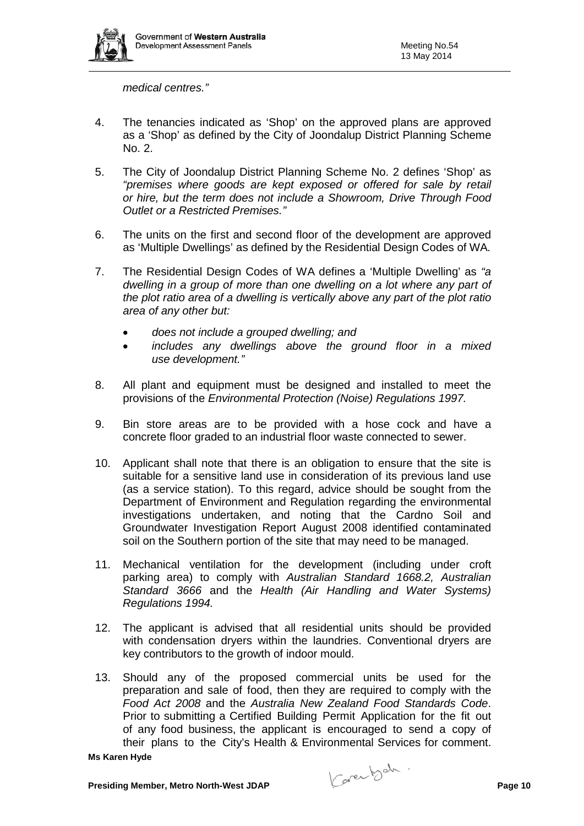

*medical centres."*

- 4. The tenancies indicated as 'Shop' on the approved plans are approved as a 'Shop' as defined by the City of Joondalup District Planning Scheme No. 2.
- 5. The City of Joondalup District Planning Scheme No. 2 defines 'Shop' as *"premises where goods are kept exposed or offered for sale by retail or hire, but the term does not include a Showroom, Drive Through Food Outlet or a Restricted Premises."*
- 6. The units on the first and second floor of the development are approved as 'Multiple Dwellings' as defined by the Residential Design Codes of WA.
- 7. The Residential Design Codes of WA defines a 'Multiple Dwelling' as *"a dwelling in a group of more than one dwelling on a lot where any part of the plot ratio area of a dwelling is vertically above any part of the plot ratio area of any other but:*
	- *does not include a grouped dwelling; and*
	- *includes any dwellings above the ground floor in a mixed use development."*
- 8. All plant and equipment must be designed and installed to meet the provisions of the *Environmental Protection (Noise) Regulations 1997.*
- 9. Bin store areas are to be provided with a hose cock and have a concrete floor graded to an industrial floor waste connected to sewer.
- 10. Applicant shall note that there is an obligation to ensure that the site is suitable for a sensitive land use in consideration of its previous land use (as a service station). To this regard, advice should be sought from the Department of Environment and Regulation regarding the environmental investigations undertaken, and noting that the Cardno Soil and Groundwater Investigation Report August 2008 identified contaminated soil on the Southern portion of the site that may need to be managed.
- 11. Mechanical ventilation for the development (including under croft parking area) to comply with *Australian Standard 1668.2, Australian Standard 3666* and the *Health (Air Handling and Water Systems) Regulations 1994.*
- 12. The applicant is advised that all residential units should be provided with condensation dryers within the laundries. Conventional dryers are key contributors to the growth of indoor mould.
- 13. Should any of the proposed commercial units be used for the preparation and sale of food, then they are required to comply with the *Food Act 2008* and the *Australia New Zealand Food Standards Code*. Prior to submitting a Certified Building Permit Application for the fit out of any food business, the applicant is encouraged to send a copy of their plans to the City's Health & Environmental Services for comment.

**Presiding Member, Metro North-West JDAP** Page 10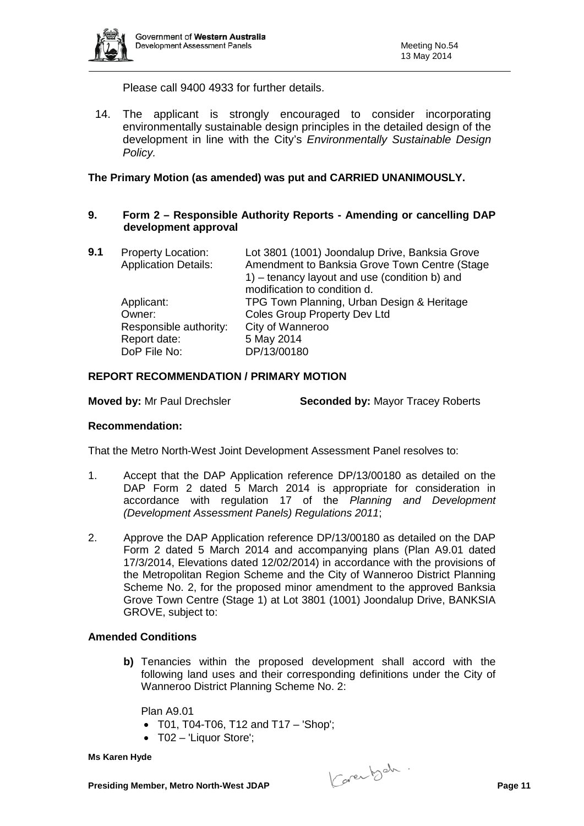

Please call 9400 4933 for further details.

14. The applicant is strongly encouraged to consider incorporating environmentally sustainable design principles in the detailed design of the development in line with the City's *Environmentally Sustainable Design Policy.*

### **The Primary Motion (as amended) was put and CARRIED UNANIMOUSLY.**

### **9. Form 2 – Responsible Authority Reports - Amending or cancelling DAP development approval**

| 9.1 | <b>Property Location:</b><br><b>Application Details:</b> | Lot 3801 (1001) Joondalup Drive, Banksia Grove<br>Amendment to Banksia Grove Town Centre (Stage<br>1) – tenancy layout and use (condition b) and<br>modification to condition d. |
|-----|----------------------------------------------------------|----------------------------------------------------------------------------------------------------------------------------------------------------------------------------------|
|     | Applicant:                                               | TPG Town Planning, Urban Design & Heritage                                                                                                                                       |
|     | Owner:                                                   | <b>Coles Group Property Dev Ltd</b>                                                                                                                                              |
|     | Responsible authority:                                   | City of Wanneroo                                                                                                                                                                 |
|     | Report date:                                             | 5 May 2014                                                                                                                                                                       |
|     | DoP File No:                                             | DP/13/00180                                                                                                                                                                      |

### **REPORT RECOMMENDATION / PRIMARY MOTION**

**Moved by:** Mr Paul Drechsler **Seconded by:** Mayor Tracey Roberts

#### **Recommendation:**

That the Metro North-West Joint Development Assessment Panel resolves to:

- 1. Accept that the DAP Application reference DP/13/00180 as detailed on the DAP Form 2 dated 5 March 2014 is appropriate for consideration in accordance with regulation 17 of the *Planning and Development (Development Assessment Panels) Regulations 2011*;
- 2. Approve the DAP Application reference DP/13/00180 as detailed on the DAP Form 2 dated 5 March 2014 and accompanying plans (Plan A9.01 dated 17/3/2014, Elevations dated 12/02/2014) in accordance with the provisions of the Metropolitan Region Scheme and the City of Wanneroo District Planning Scheme No. 2, for the proposed minor amendment to the approved Banksia Grove Town Centre (Stage 1) at Lot 3801 (1001) Joondalup Drive, BANKSIA GROVE, subject to:

#### **Amended Conditions**

**b)** Tenancies within the proposed development shall accord with the following land uses and their corresponding definitions under the City of Wanneroo District Planning Scheme No. 2:

Plan A9.01

- $TO1, TO4-T06, T12, and T17 'Shop';$
- T02 'Liquor Store';

**Presiding Member, Metro North-West JDAP** Page 11